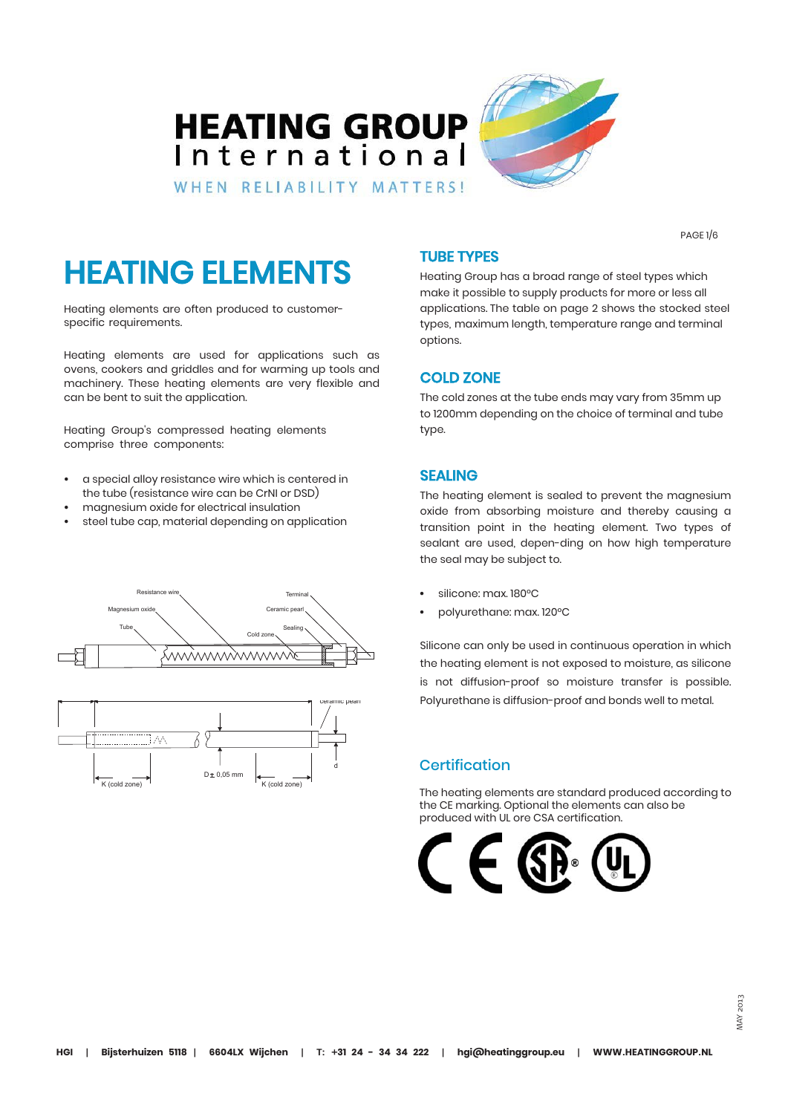## **HEATING GROUP** International



WHEN RELIABILITY MATTERS!

PAGE 1/6

# HEATING ELEMENTS

Heating elements are often produced to customerspecific requirements.

Heating elements are used for applications such as ovens, cookers and griddles and for warming up tools and machinery. These heating elements are very flexible and can be bent to suit the application.

Heating Group's compressed heating elements comprise three components:

- a special alloy resistance wire which is centered in the tube (resistance wire can be CrNI or DSD)
- magnesium oxide for electrical insulation
- steel tube cap, material depending on application





### TUBE TYPES

Heating Group has a broad range of steel types which make it possible to supply products for more or less all applications. The table on page 2 shows the stocked steel types, maximum length, temperature range and terminal options.

### COLD ZONE

The cold zones at the tube ends may vary from 35mm up to 1200mm depending on the choice of terminal and tube type.

### SEALING

The heating element is sealed to prevent the magnesium oxide from absorbing moisture and thereby causing a transition point in the heating element. Two types of sealant are used, depen-ding on how high temperature the seal may be subject to.

- silicone: max. 180°C
- polyurethane: max. 120°C

Silicone can only be used in continuous operation in which the heating element is not exposed to moisture, as silicone is not diffusion-proof so moisture transfer is possible. Polyurethane is diffusion-proof and bonds well to metal.

### **Certification**

The heating elements are standard produced according to the CE marking. Optional the elements can also be produced with UL ore CSA certification.

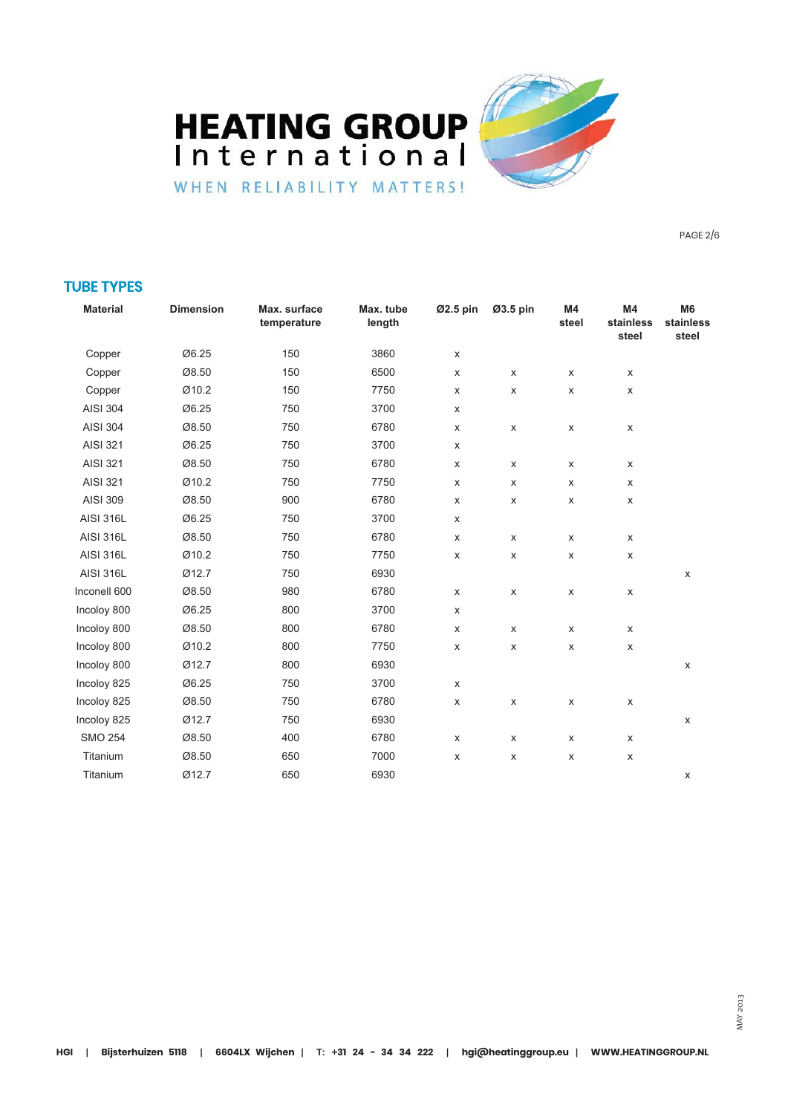**HEATING GROUP** International WHEN RELIABILITY MATTERS!



PAGE 2/6

### TUBE TYPES

| <b>Material</b>  | <b>Dimension</b> | Max. surface<br>temperature | Max. tube<br>length | Ø2.5 pin | Ø3.5 pin           | M4<br>steel        | M4<br>stainless<br>steel | M <sub>6</sub><br>stainless<br>steel |
|------------------|------------------|-----------------------------|---------------------|----------|--------------------|--------------------|--------------------------|--------------------------------------|
| Copper           | Ø6.25            | 150                         | 3860                | X        |                    |                    |                          |                                      |
| Copper           | Ø8.50            | 150                         | 6500                | X        | X                  | $\pmb{\times}$     | X                        |                                      |
| Copper           | Ø10.2            | 150                         | 7750                | X        | X                  | $\pmb{\mathsf{X}}$ | X                        |                                      |
| <b>AISI 304</b>  | Ø6.25            | 750                         | 3700                | X        |                    |                    |                          |                                      |
| <b>AISI 304</b>  | Ø8.50            | 750                         | 6780                | X        | $\pmb{\mathsf{X}}$ | X                  | X                        |                                      |
| <b>AISI 321</b>  | Ø6.25            | 750                         | 3700                | X        |                    |                    |                          |                                      |
| <b>AISI 321</b>  | Ø8.50            | 750                         | 6780                | X        | X                  | X                  | X                        |                                      |
| <b>AISI 321</b>  | Ø10.2            | 750                         | 7750                | X        | X                  | $\pmb{\mathsf{X}}$ | X                        |                                      |
| <b>AISI 309</b>  | Ø8.50            | 900                         | 6780                | X        | X                  | $\pmb{\mathsf{X}}$ | X                        |                                      |
| <b>AISI 316L</b> | Ø6.25            | 750                         | 3700                | X        |                    |                    |                          |                                      |
| <b>AISI 316L</b> | Ø8.50            | 750                         | 6780                | X        | $\pmb{\times}$     | X                  | X                        |                                      |
| <b>AISI 316L</b> | Ø10.2            | 750                         | 7750                | X        | $\pmb{\times}$     | X                  | X                        |                                      |
| <b>AISI 316L</b> | Ø12.7            | 750                         | 6930                |          |                    |                    |                          | X                                    |
| Inconell 600     | Ø8.50            | 980                         | 6780                | X        | X                  | X                  | X                        |                                      |
| Incoloy 800      | Ø6.25            | 800                         | 3700                | X        |                    |                    |                          |                                      |
| Incoloy 800      | Ø8.50            | 800                         | 6780                | X        | X                  | X                  | X                        |                                      |
| Incoloy 800      | Ø10.2            | 800                         | 7750                | X        | $\pmb{\times}$     | $\pmb{\mathsf{X}}$ | X                        |                                      |
| Incoloy 800      | Ø12.7            | 800                         | 6930                |          |                    |                    |                          | Х                                    |
| Incoloy 825      | Ø6.25            | 750                         | 3700                | X        |                    |                    |                          |                                      |
| Incoloy 825      | Ø8.50            | 750                         | 6780                | X        | $\pmb{\times}$     | $\pmb{\times}$     | X                        |                                      |
| Incoloy 825      | Ø12.7            | 750                         | 6930                |          |                    |                    |                          | $\pmb{\mathsf{X}}$                   |
| <b>SMO 254</b>   | Ø8.50            | 400                         | 6780                | X        | X                  | $\pmb{\mathsf{X}}$ | X                        |                                      |
| Titanium         | Ø8.50            | 650                         | 7000                | X        | $\pmb{\times}$     | $\pmb{\mathsf{X}}$ | X                        |                                      |
| Titanium         | Ø12.7            | 650                         | 6930                |          |                    |                    |                          | X                                    |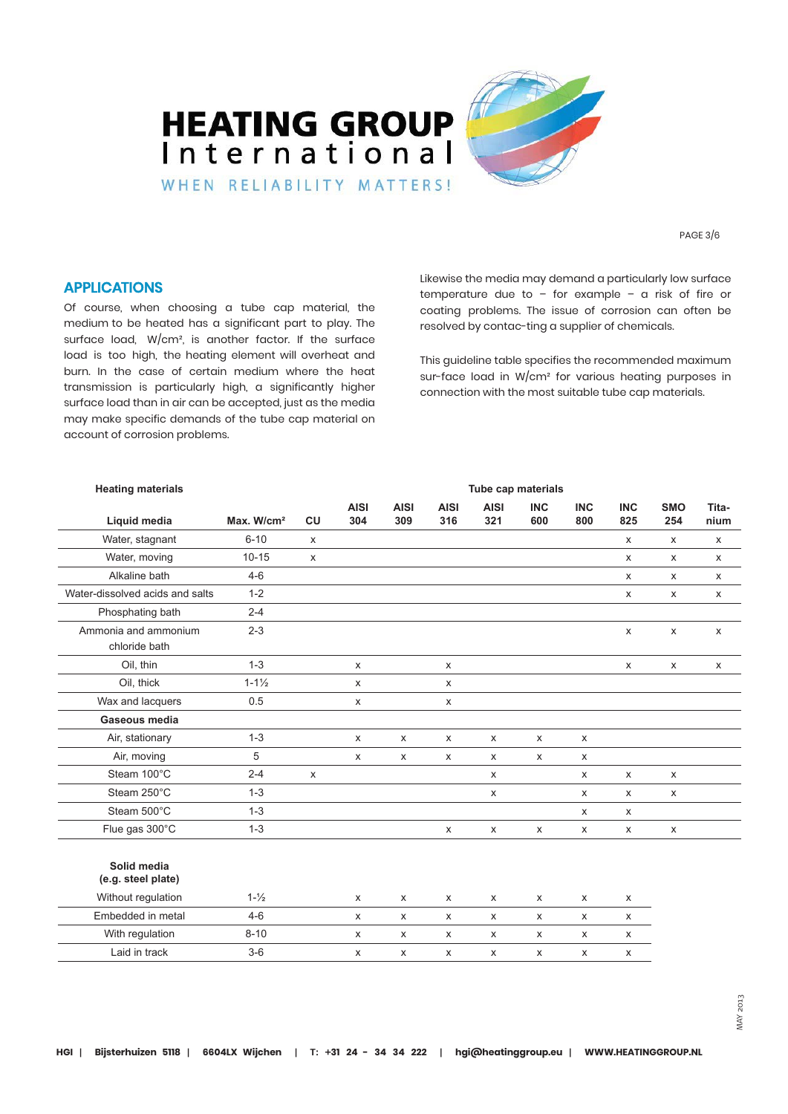

PAGE 3/6

#### APPLICATIONS

Of course, when choosing a tube cap material, the medium to be heated has a significant part to play. The surface load, W/cm², is another factor. If the surface load is too high, the heating element will overheat and burn. In the case of certain medium where the heat transmission is particularly high, a significantly higher surface load than in air can be accepted, just as the media may make specific demands of the tube cap material on account of corrosion problems.

Likewise the media may demand a particularly low surface temperature due to – for example – a risk of fire or coating problems. The issue of corrosion can often be resolved by contac-ting a supplier of chemicals.

This guideline table specifies the recommended maximum sur-face load in W/cm² for various heating purposes in connection with the most suitable tube cap materials.

| <b>Heating materials</b>          |                        |                | Tube cap materials |                    |                    |                    |                    |                    |                           |                    |               |
|-----------------------------------|------------------------|----------------|--------------------|--------------------|--------------------|--------------------|--------------------|--------------------|---------------------------|--------------------|---------------|
| Liquid media                      | Max. W/cm <sup>2</sup> | <b>CU</b>      | <b>AISI</b><br>304 | <b>AISI</b><br>309 | <b>AISI</b><br>316 | <b>AISI</b><br>321 | <b>INC</b><br>600  | <b>INC</b><br>800  | <b>INC</b><br>825         | <b>SMO</b><br>254  | Tita-<br>nium |
| Water, stagnant                   | $6 - 10$               | X              |                    |                    |                    |                    |                    |                    | $\boldsymbol{\mathsf{x}}$ | X                  | X             |
| Water, moving                     | $10 - 15$              | X              |                    |                    |                    |                    |                    |                    | X                         | X                  | X             |
| Alkaline bath                     | $4 - 6$                |                |                    |                    |                    |                    |                    |                    | $\pmb{\times}$            | X                  | X             |
| Water-dissolved acids and salts   | $1 - 2$                |                |                    |                    |                    |                    |                    |                    | X                         | X                  | X             |
| Phosphating bath                  | $2 - 4$                |                |                    |                    |                    |                    |                    |                    |                           |                    |               |
| Ammonia and ammonium              |                        |                |                    |                    |                    |                    |                    |                    |                           |                    |               |
| chloride bath                     | $2 - 3$                |                |                    |                    |                    |                    |                    |                    | X                         | X                  | X             |
| Oil, thin                         | $1 - 3$                |                | X                  |                    | X                  |                    |                    |                    | X                         | X                  | X             |
| Oil, thick                        | $1 - 1\frac{1}{2}$     |                | X                  |                    | X                  |                    |                    |                    |                           |                    |               |
| Wax and lacquers                  | 0.5                    |                | X                  |                    | X                  |                    |                    |                    |                           |                    |               |
| Gaseous media                     |                        |                |                    |                    |                    |                    |                    |                    |                           |                    |               |
| Air, stationary                   | $1 - 3$                |                | X                  | $\mathsf X$        | X                  | $\pmb{\chi}$       | $\pmb{\chi}$       | $\pmb{\chi}$       |                           |                    |               |
| Air, moving                       | 5                      |                | X                  | X                  | X                  | X                  | $\pmb{\chi}$       | X                  |                           |                    |               |
| Steam 100°C                       | $2 - 4$                | $\pmb{\times}$ |                    |                    |                    | $\mathsf{x}$       |                    | $\pmb{\mathsf{X}}$ | $\pmb{\times}$            | $\pmb{\mathsf{X}}$ |               |
| Steam 250°C                       | $1 - 3$                |                |                    |                    |                    | X                  |                    | X                  | $\pmb{\mathsf{X}}$        | X                  |               |
| Steam 500°C                       | $1 - 3$                |                |                    |                    |                    |                    |                    | X                  | $\boldsymbol{\mathsf{x}}$ |                    |               |
| Flue gas 300°C                    | $1 - 3$                |                |                    |                    | X                  | X                  | $\pmb{\mathsf{X}}$ | X                  | $\pmb{\mathsf{X}}$        | X                  |               |
| Solid media<br>(e.g. steel plate) |                        |                |                    |                    |                    |                    |                    |                    |                           |                    |               |
| Without regulation                | $1 - \frac{1}{2}$      |                | X                  | X                  | X                  | X                  | X                  | X                  | $\pmb{\mathsf{X}}$        |                    |               |
| Embedded in metal                 | $4 - 6$                |                | $\mathsf{x}$       | X                  | X                  | X                  | X                  | $\pmb{\mathsf{X}}$ | $\times$                  |                    |               |
| With regulation                   | $8 - 10$               |                | X                  | X                  | X                  | X                  | $\mathsf{x}$       | X                  | X                         |                    |               |
| Laid in track                     | $3-6$                  |                | X                  | X                  | X                  | X                  | $\pmb{\chi}$       | X                  | $\pmb{\chi}$              |                    |               |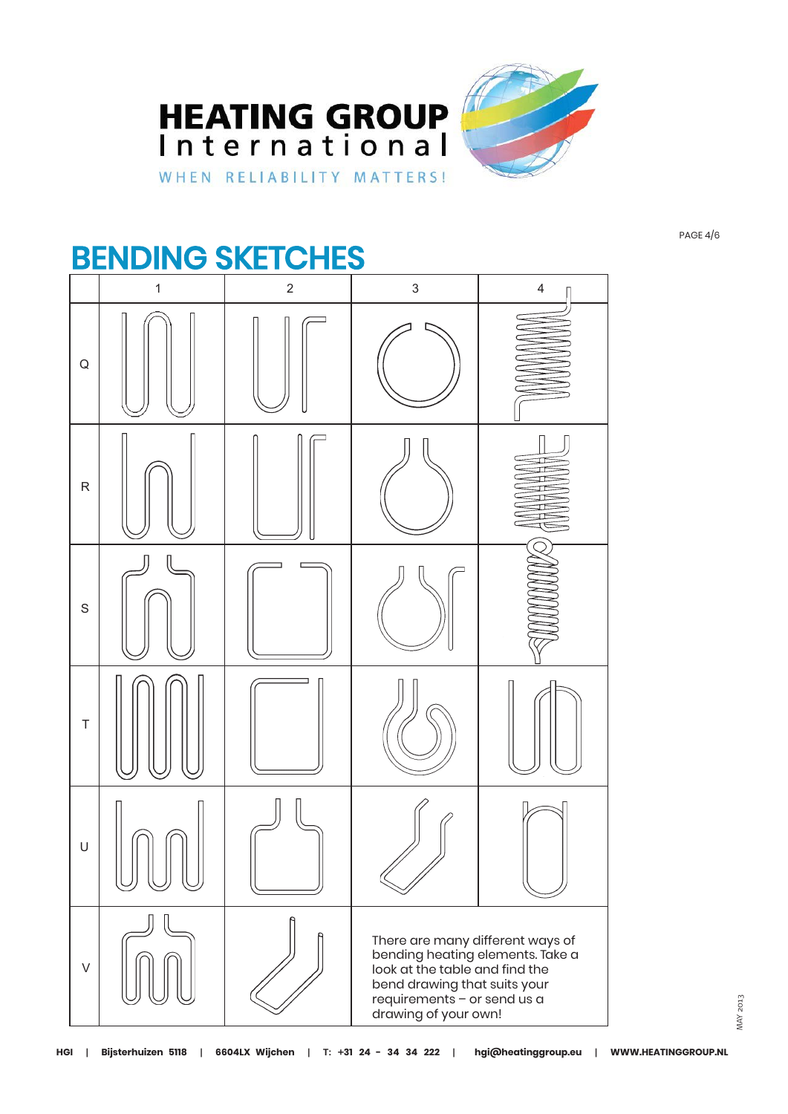



## BENDING SKETCHES



PAGE 4/6

MAY 2013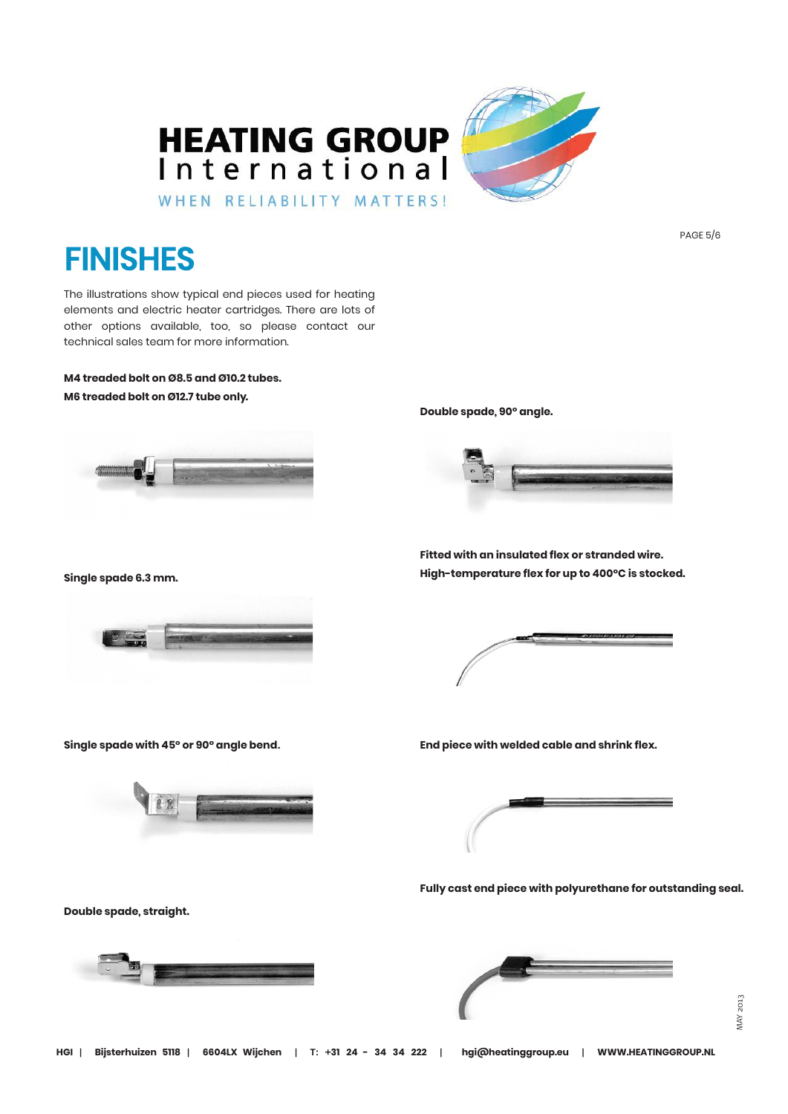

## **FINISHES**

The illustrations show typical end pieces used for heating elements and electric heater cartridges. There are lots of other options available, too, so please contact our technical sales team for more information.

**M4 treaded bolt on Ø8.5 and Ø10.2 tubes. M6 treaded bolt on Ø12.7 tube only.**



**Double spade, 90° angle.**



**Single spade 6.3 mm.**



**Single spade with 45° or 90° angle bend.**

**Fitted with an insulated flex or stranded wire. High-temperature flex for up to 400°C is stocked.**

**End piece with welded cable and shrink flex.**



**Fully cast end piece with polyurethane for outstanding seal.**

**Double spade, straight.**





PAGE 5/6